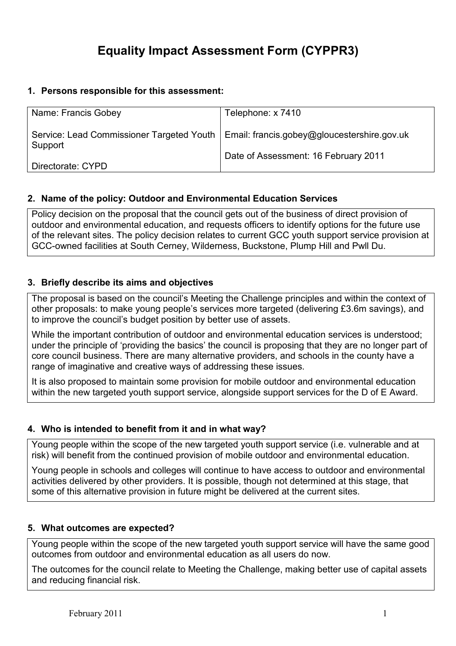# Equality Impact Assessment Form (CYPPR3)

### 1. Persons responsible for this assessment:

| Name: Francis Gobey                                                                     | Telephone: x 7410                    |
|-----------------------------------------------------------------------------------------|--------------------------------------|
|                                                                                         |                                      |
|                                                                                         |                                      |
|                                                                                         |                                      |
| Service: Lead Commissioner Targeted Youth   Email: francis.gobey@gloucestershire.gov.uk |                                      |
|                                                                                         |                                      |
| Support                                                                                 |                                      |
|                                                                                         | Date of Assessment: 16 February 2011 |
|                                                                                         |                                      |
| Directorate: CYPD                                                                       |                                      |
|                                                                                         |                                      |

#### 2. Name of the policy: Outdoor and Environmental Education Services

Policy decision on the proposal that the council gets out of the business of direct provision of outdoor and environmental education, and requests officers to identify options for the future use of the relevant sites. The policy decision relates to current GCC youth support service provision at GCC-owned facilities at South Cerney, Wilderness, Buckstone, Plump Hill and Pwll Du.

# 3. Briefly describe its aims and objectives

The proposal is based on the council's Meeting the Challenge principles and within the context of other proposals: to make young people's services more targeted (delivering £3.6m savings), and to improve the council's budget position by better use of assets.

While the important contribution of outdoor and environmental education services is understood; under the principle of 'providing the basics' the council is proposing that they are no longer part of core council business. There are many alternative providers, and schools in the county have a range of imaginative and creative ways of addressing these issues.

It is also proposed to maintain some provision for mobile outdoor and environmental education within the new targeted youth support service, alongside support services for the D of E Award.

# 4. Who is intended to benefit from it and in what way?

Young people within the scope of the new targeted youth support service (i.e. vulnerable and at risk) will benefit from the continued provision of mobile outdoor and environmental education.

Young people in schools and colleges will continue to have access to outdoor and environmental activities delivered by other providers. It is possible, though not determined at this stage, that some of this alternative provision in future might be delivered at the current sites.

#### 5. What outcomes are expected?

Young people within the scope of the new targeted youth support service will have the same good outcomes from outdoor and environmental education as all users do now.

The outcomes for the council relate to Meeting the Challenge, making better use of capital assets and reducing financial risk.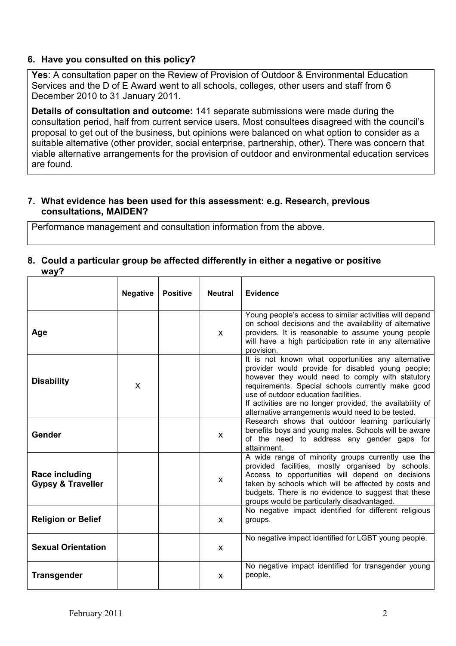#### 6. Have you consulted on this policy?

Yes: A consultation paper on the Review of Provision of Outdoor & Environmental Education Services and the D of E Award went to all schools, colleges, other users and staff from 6 December 2010 to 31 January 2011.

Details of consultation and outcome: 141 separate submissions were made during the consultation period, half from current service users. Most consultees disagreed with the council's proposal to get out of the business, but opinions were balanced on what option to consider as a suitable alternative (other provider, social enterprise, partnership, other). There was concern that viable alternative arrangements for the provision of outdoor and environmental education services are found.

#### 7. What evidence has been used for this assessment: e.g. Research, previous consultations, MAIDEN?

Performance management and consultation information from the above.

#### 8. Could a particular group be affected differently in either a negative or positive way?

|                                                | <b>Negative</b> | <b>Positive</b> | <b>Neutral</b> | <b>Evidence</b>                                                                                                                                                                                                                                                                                                                                                            |
|------------------------------------------------|-----------------|-----------------|----------------|----------------------------------------------------------------------------------------------------------------------------------------------------------------------------------------------------------------------------------------------------------------------------------------------------------------------------------------------------------------------------|
| Age                                            |                 |                 | $\mathsf{x}$   | Young people's access to similar activities will depend<br>on school decisions and the availability of alternative<br>providers. It is reasonable to assume young people<br>will have a high participation rate in any alternative<br>provision.                                                                                                                           |
| <b>Disability</b>                              | X               |                 |                | It is not known what opportunities any alternative<br>provider would provide for disabled young people;<br>however they would need to comply with statutory<br>requirements. Special schools currently make good<br>use of outdoor education facilities.<br>If activities are no longer provided, the availability of<br>alternative arrangements would need to be tested. |
| Gender                                         |                 |                 | $\mathsf{x}$   | Research shows that outdoor learning particularly<br>benefits boys and young males. Schools will be aware<br>of the need to address any gender gaps for<br>attainment.                                                                                                                                                                                                     |
| Race including<br><b>Gypsy &amp; Traveller</b> |                 |                 | $\mathsf{x}$   | A wide range of minority groups currently use the<br>provided facilities, mostly organised by schools.<br>Access to opportunities will depend on decisions<br>taken by schools which will be affected by costs and<br>budgets. There is no evidence to suggest that these<br>groups would be particularly disadvantaged.                                                   |
| <b>Religion or Belief</b>                      |                 |                 | $\mathsf{x}$   | No negative impact identified for different religious<br>groups.                                                                                                                                                                                                                                                                                                           |
| <b>Sexual Orientation</b>                      |                 |                 | $\mathsf{x}$   | No negative impact identified for LGBT young people.                                                                                                                                                                                                                                                                                                                       |
| <b>Transgender</b>                             |                 |                 | $\mathsf{x}$   | No negative impact identified for transgender young<br>people.                                                                                                                                                                                                                                                                                                             |